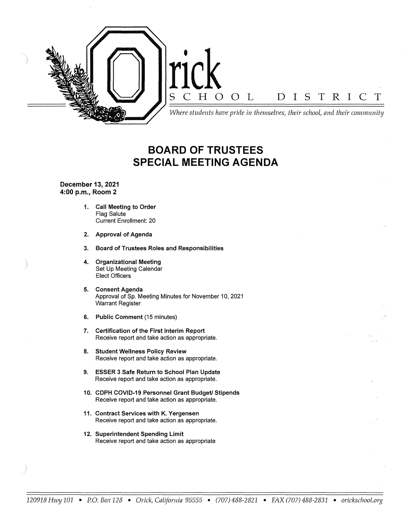

# **BOARD OF TRUSTEES SPECIAL MEETING AGENDA**

**December 13, 2021 4:00 p.m., Room 2** 

- **1. Call Meeting to Order**  Flag Salute Current Enrollment: 20
- **2. Approval of Agenda**
- **3. Board of Trustees Roles and Responsibilities**
- **4. Organizational Meeting**  Set Up Meeting Calendar Elect Officers
- **5. Consent Agenda**  Approval of Sp. Meeting Minutes for November 10, 2021 Warrant Register
- **6. Public Comment** (15 minutes)
- **7. Certification of the First Interim Report**  Receive report and take action as appropriate.
- **8. Student Wellness Policy Review**  Receive report and take action as appropriate.
- **9. ESSER 3 Safe Return to School Plan Update**  Receive report and take action as appropriate.
- 10. CDPH COVID-19 Personnel Grant Budget/ Stipends Receive report and take action as appropriate.
- **11. Contract Services with K. Yergensen**  Receive report and take action as appropriate.
- **12. Superintendent Spending Limit**  Receive report and take action as appropriate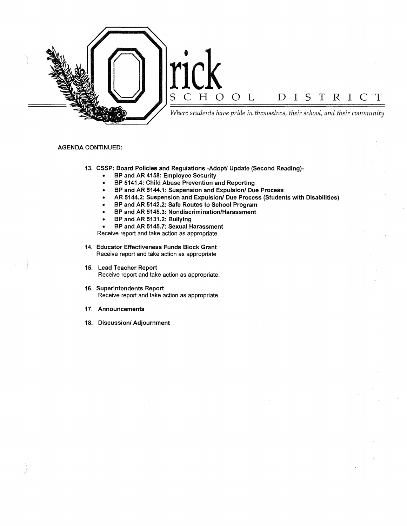

#### **AGENDA CONTINUED:**

- **13. CSSP: Board Policies and Regulations -Adoptl Update (Second Reading)-**
	- **BP and AR 4158: Employee Security**
	- **BP 5141.4: Child Abuse Prevention and Reporting**
	- **BP and AR 5144.1: Suspension and Expulsion/ Due Process**
	- **AR 5144.2: Suspension and Expulsion/ Due Process (Students with Disabilities)**
	- **BP and AR 5142.2: Safe Routes to School Program**
	- **BP and AR 5145.3: Nondiscrimination/Harassment**
	- **BP and AR 5131.2: Bullying**
	- **BP and AR 5145.7: Sexual Harassment**

Receive report and take action as appropriate.

- **14. Educator Effectiveness Funds Block Grant**  Receive report and take action as appropriate
- **15. Lead Teacher Report**  Receive report and take action as appropriate.
- **16. Superintendents Report**  Receive report and take action as appropriate.
- **17. Announcements**
- **18. Discussion/ Adjournment**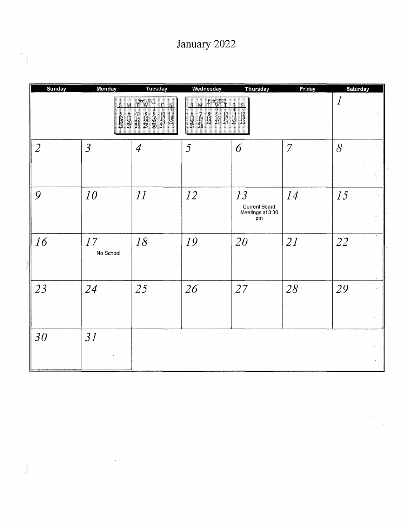| January 2022 |  |
|--------------|--|
|--------------|--|

| <b>Sunday</b>  | Monday                                 | <b>Tuesday</b>                                                                                                                                                                                                                                                              | Wednesday                                                                                                                                                                                                                            | <b>Thursday</b>                                                                             | Friday         | Saturday         |  |
|----------------|----------------------------------------|-----------------------------------------------------------------------------------------------------------------------------------------------------------------------------------------------------------------------------------------------------------------------------|--------------------------------------------------------------------------------------------------------------------------------------------------------------------------------------------------------------------------------------|---------------------------------------------------------------------------------------------|----------------|------------------|--|
|                | $\mathbf{S}$ .<br>$\frac{5}{19}$<br>26 | Dec 2021<br>T W T<br>F.<br>S<br>M<br>$\frac{3}{10}$<br>$\frac{1}{24}$<br>$\frac{24}{31}$<br>$\frac{1}{25}$<br>$\frac{2}{30}$<br>$\frac{16}{30}$<br>$\begin{smallmatrix}7\14\21\28\end{smallmatrix}$<br>$\frac{8}{22}$<br>$\begin{array}{c} 6 \\ 13 \\ 20 \\ 27 \end{array}$ | W Feb 2022<br>$S_{\cdot \cdot \cdot}$<br>$\begin{array}{c cc} & 7 & 3 & 3 \\ \hline 7 & 8 & 9 & 10 \\ 14 & 15 & 16 & 17 \\ 24 & 22 & 23 & 24 \\ 28 & 29 & 23 & 24 \end{array}$<br>$\begin{array}{c} 6 \\ 13 \\ 20 \\ 47 \end{array}$ | H  <br>S<br>$\begin{array}{c} 4 \\ 1 \\ 25 \end{array}$<br>$\frac{3}{12}$<br>$\frac{1}{26}$ |                | $\boldsymbol{l}$ |  |
| $\overline{2}$ | $\overline{3}$                         | $\overline{4}$                                                                                                                                                                                                                                                              | 5                                                                                                                                                                                                                                    | 6                                                                                           | $\overline{7}$ | 8                |  |
| 9              | 10                                     | 11                                                                                                                                                                                                                                                                          | 12                                                                                                                                                                                                                                   | 13<br><b>Current Board</b><br>Meetings at 3:30<br>pm                                        | 14             | 15               |  |
| 16             | 17<br>No School                        | 18                                                                                                                                                                                                                                                                          | 19                                                                                                                                                                                                                                   | 20                                                                                          | 21             | 22               |  |
| 23             | 24                                     | 25                                                                                                                                                                                                                                                                          | 26                                                                                                                                                                                                                                   | 27                                                                                          | 28             | 29               |  |
| 30             | 31                                     |                                                                                                                                                                                                                                                                             |                                                                                                                                                                                                                                      |                                                                                             |                |                  |  |

 $\label{eq:2.1} \frac{1}{\sqrt{2}}\int_{\mathbb{R}^3}\frac{1}{\sqrt{2}}\left(\frac{1}{\sqrt{2}}\right)^2\frac{1}{\sqrt{2}}\left(\frac{1}{\sqrt{2}}\right)^2\frac{1}{\sqrt{2}}\left(\frac{1}{\sqrt{2}}\right)^2.$ 

 $\label{eq:2.1} \begin{array}{c} \mathbb{E} \left( \begin{array}{c} \mathbb{E} \left( \begin{array}{c} \mathbb{E} \left( \begin{array}{c} \mathbb{E} \left( \begin{array}{c} \mathbb{E} \left( \begin{array}{c} \mathbb{E} \left( \begin{array}{c} \mathbb{E} \left( \begin{array}{c} \mathbb{E} \left( \begin{array}{c} \mathbb{E} \left( \begin{array}{c} \mathbb{E} \left( \begin{array}{c} \mathbb{E} \left( \end{array} \right) \right) \right) \right) \right) \end{array} \right) \end{array} \right$ 

 $\frac{1}{\sqrt{2}}$ 

 $\left\langle \hat{u}^{\dagger}_{\mu} \hat{u}^{\dagger}_{\nu} \right\rangle$ 

 $\hat{\gamma}$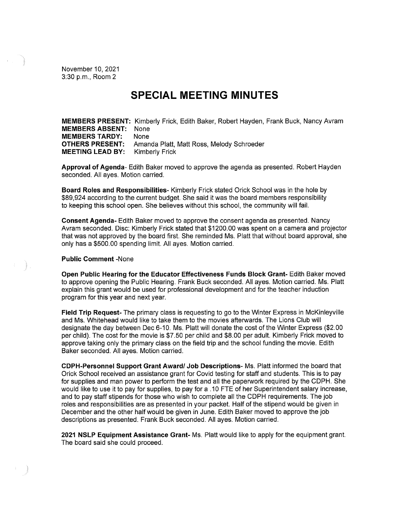November 10, 2021 3:30 p.m., Room 2

# **SPECIAL MEETING MINUTES**

**MEMBERS PRESENT:** Kimberly Frick, Edith Baker, Robert Hayden, Frank Buck, Nancy Avram **MEMBERS ABSENT:** None **MEMBERS TARDY:** None **OTHERS PRESENT:** Amanda Platt, Matt Ross, Melody Schroeder **MEETING LEAD BY:** Kimberly Frick

**Approval of Agenda-** Edith Baker moved to approve the agenda as presented. Robert Hayden seconded. All ayes. Motion carried.

**Board Roles and Responsibilities-** Kimberly Frick stated Orick School was in the hole by \$89,924 according to the current budget. She said it was the board members responsibility to keeping this school open. She believes without this school, the community will fail.

**Consent Agenda-** Edith Baker moved to approve the consent agenda as presented. Nancy Avram seconded. Disc: Kimberly Frick stated that \$1200.00 was spent on a camera and projector that was not approved by the board first. She reminded Ms. Platt that without board approval, she only has a \$500.00 spending limit. All ayes. Motion carried.

#### **Public Comment** -None

**Open Public Hearing for the Educator Effectiveness Funds Block Grant-** Edith Baker moved to approve opening the Public Hearing. Frank Buck seconded. All ayes. Motion carried. Ms. Platt explain this grant would be used for professional development and for the teacher induction program for this year and next year.

**Field Trip Request-** The primary class is requesting to go to the Winter Express in McKinleyville and Ms. Whitehead would like to take them to the movies afterwards. The Lions Club will designate the day between Dec 6-10. Ms. Platt will donate the cost of the Winter Express (\$2.00 per child). The cost for the movie is \$7.50 per child and \$8.00 per adult. Kimberly Frick moved to approve taking only the primary class on the field trip and the school funding the movie. Edith Baker seconded. All ayes. Motion carried.

**CDPH-Personnel Support Grant Award/ Job Descriptions-** Ms. Platt informed the board that Orick School received an assistance grant for Covid testing for staff and students. This is to pay for supplies and man power to perform the test and all the paperwork required by the CDPH. She would like to use it to pay for supplies, to pay for a .10 FTE of her Superintendent salary increase, and to pay staff stipends for those who wish to complete all the CDPH requirements. The job roles and responsibilities are as presented in your packet. Half of the stipend would be given in December and the other half would be given in June. Edith Baker moved to approve the job descriptions as presented. Frank Buck seconded. All ayes. Motion carried.

**2021 NSLP Equipment Assistance Grant-** Ms. Platt would like to apply for the equipment grant. The board said she could proceed.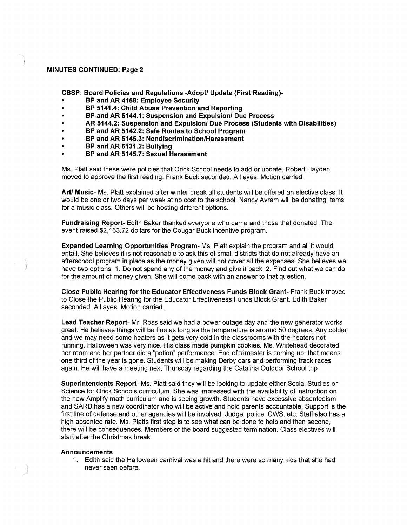#### **MINUTES CONTINUED: Page 2**

**CSSP: Board Policies and Regulations -Adopt/ Update (First Reading)-**

- **BP and AR 4158: Employee Security**
- **BP 5141.4: Child Abuse Prevention and Reporting**
- **BP and AR 5144.1: Suspension and Expulsion/ Due Process**
- **AR 5144.2: Suspension and Expulsion/ Due Process (Students with Disabilities)**
- **BP and AR 5142.2: Safe Routes to School Program**
- **BP and AR 5145.3: Nondiscrimination/Harassment**
- **BP and AR 5131.2: Bullying**
- **BP and AR 5145.7: Sexual Harassment**

Ms. Platt said these were policies that Orick School needs to add or update. Robert Hayden moved to approve the first reading. Frank Buck seconded. All ayes. Motion carried.

**Art/ Music-** Ms. Platt explained after winter break all students will be offered an elective class. It would be one or two days per week at no cost to the school. Nancy Avram will be donating items for a music class. Others will be hosting different options.

**Fundraising Report-** Edith Baker thanked everyone who came and those that donated. The event raised [\\$2,163.72](https://2,163.72) dollars for the Cougar Buck incentive program.

**Expanded Learning Opportunities Program-** Ms. Platt explain the program and all it would entail. She believes it is not reasonable to ask this of small districts that do not already have an afterschool program in place as the money given will not cover all the expenses. She believes we have two options. 1. Do not spend any of the money and give it back. 2. Find out what we can do for the amount of money given. She will come back with an answer to that question.

**Close Public Hearing for the Educator Effectiveness Funds Block Grant-** Frank Buck moved to Close the Public Hearing for the Educator Effectiveness Funds Block Grant. Edith Baker seconded. All ayes. Motion carried.

**Lead Teacher Report-** Mr. Ross said we had a power outage day and the new generator works great. He believes things will be fine as long as the temperature is around 50 degrees. Any colder and we may need some heaters as it gets very cold in the classrooms with the heaters not running. Halloween was very nice. His class made pumpkin cookies. Ms. Whitehead decorated her room and her partner did a "potion" performance. End of trimester is coming up, that means one third of the year is gone. Students will be making Derby cars and performing track races again. He will have a meeting next Thursday regarding the Catalina Outdoor School trip

**Superintendents Report-** Ms. Platt said they will be looking to update either Social Studies or Science for Orick Schools curriculum. She was impressed with the availability of instruction on the new Amplify math curriculum and is seeing growth. Students have excessive absenteeism and SARB has a new coordinator who will be active and hold parents accountable. Support is the first line of defense and other agencies will be involved: Judge, police, CWS, etc. Staff also has a high absentee rate. Ms. Platts first step is to see what can be done to help and then second, there will be consequences. Members of the board suggested termination. Class electives will start after the Christmas break.

#### **Announcements**

1. Edith said the Halloween carnival was a hit and there were so many kids that she had never seen before.